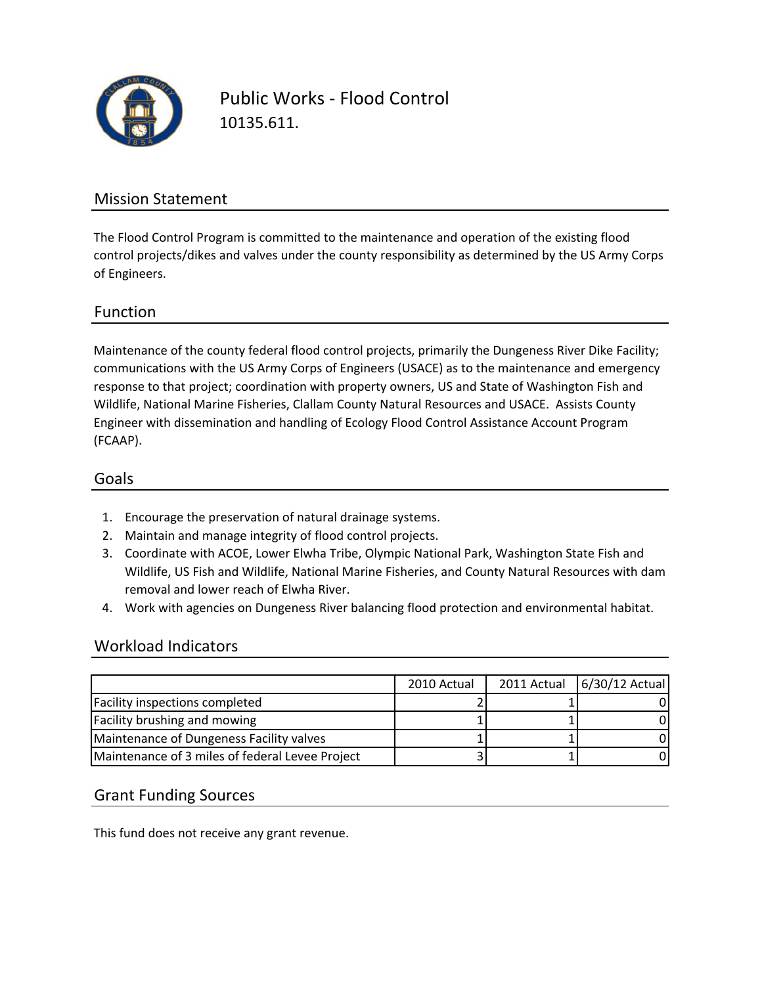

Public Works ‐ Flood Control 10135.611.

### Mission Statement

The Flood Control Program is committed to the maintenance and operation of the existing flood control projects/dikes and valves under the county responsibility as determined by the US Army Corps of Engineers.

#### Function

Maintenance of the county federal flood control projects, primarily the Dungeness River Dike Facility; communications with the US Army Corps of Engineers (USACE) as to the maintenance and emergency response to that project; coordination with property owners, US and State of Washington Fish and Wildlife, National Marine Fisheries, Clallam County Natural Resources and USACE. Assists County Engineer with dissemination and handling of Ecology Flood Control Assistance Account Program (FCAAP).

#### Goals

- 1. Encourage the preservation of natural drainage systems.
- 2. Maintain and manage integrity of flood control projects.
- 3. Coordinate with ACOE, Lower Elwha Tribe, Olympic National Park, Washington State Fish and Wildlife, US Fish and Wildlife, National Marine Fisheries, and County Natural Resources with dam removal and lower reach of Elwha River.
- 4. Work with agencies on Dungeness River balancing flood protection and environmental habitat.

#### Workload Indicators

|                                                 | 2010 Actual | 2011 Actual 6/30/12 Actual |
|-------------------------------------------------|-------------|----------------------------|
| <b>Facility inspections completed</b>           |             |                            |
| <b>Facility brushing and mowing</b>             |             |                            |
| Maintenance of Dungeness Facility valves        |             |                            |
| Maintenance of 3 miles of federal Levee Project |             |                            |

#### Grant Funding Sources

This fund does not receive any grant revenue.